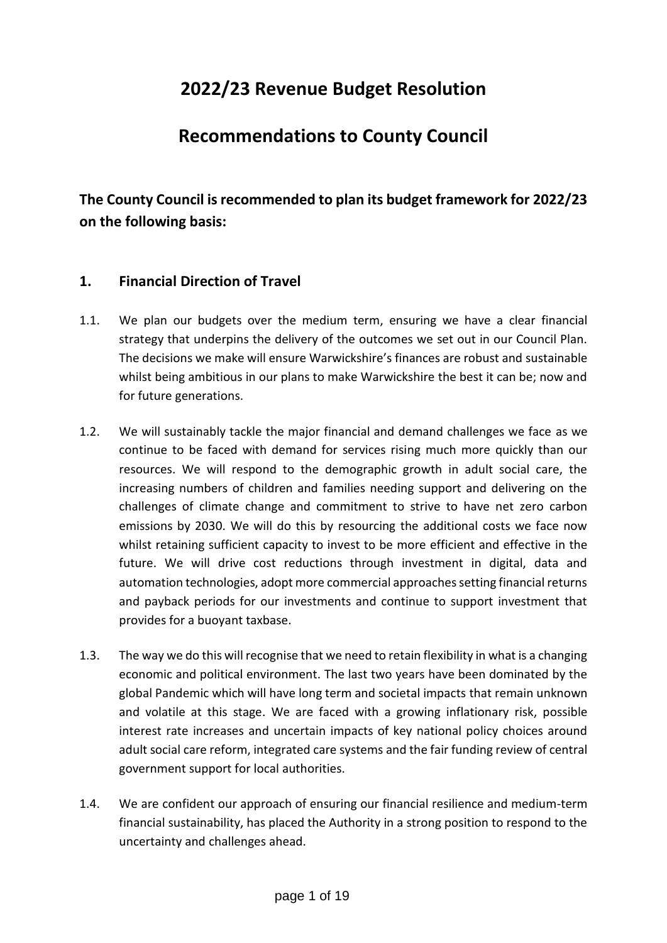# **2022/23 Revenue Budget Resolution**

# **Recommendations to County Council**

**The County Council is recommended to plan its budget framework for 2022/23 on the following basis:**

# **1. Financial Direction of Travel**

- 1.1. We plan our budgets over the medium term, ensuring we have a clear financial strategy that underpins the delivery of the outcomes we set out in our Council Plan. The decisions we make will ensure Warwickshire's finances are robust and sustainable whilst being ambitious in our plans to make Warwickshire the best it can be; now and for future generations.
- 1.2. We will sustainably tackle the major financial and demand challenges we face as we continue to be faced with demand for services rising much more quickly than our resources. We will respond to the demographic growth in adult social care, the increasing numbers of children and families needing support and delivering on the challenges of climate change and commitment to strive to have net zero carbon emissions by 2030. We will do this by resourcing the additional costs we face now whilst retaining sufficient capacity to invest to be more efficient and effective in the future. We will drive cost reductions through investment in digital, data and automation technologies, adopt more commercial approaches setting financial returns and payback periods for our investments and continue to support investment that provides for a buoyant taxbase.
- 1.3. The way we do this will recognise that we need to retain flexibility in what is a changing economic and political environment. The last two years have been dominated by the global Pandemic which will have long term and societal impacts that remain unknown and volatile at this stage. We are faced with a growing inflationary risk, possible interest rate increases and uncertain impacts of key national policy choices around adult social care reform, integrated care systems and the fair funding review of central government support for local authorities.
- 1.4. We are confident our approach of ensuring our financial resilience and medium-term financial sustainability, has placed the Authority in a strong position to respond to the uncertainty and challenges ahead.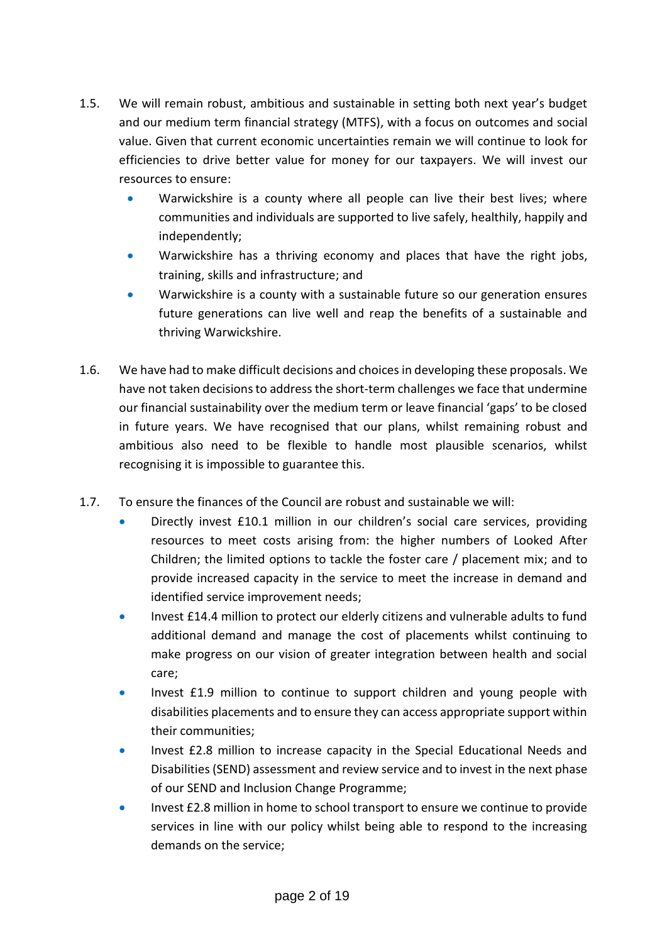- 1.5. We will remain robust, ambitious and sustainable in setting both next year's budget and our medium term financial strategy (MTFS), with a focus on outcomes and social value. Given that current economic uncertainties remain we will continue to look for efficiencies to drive better value for money for our taxpayers. We will invest our resources to ensure:
	- Warwickshire is a county where all people can live their best lives; where communities and individuals are supported to live safely, healthily, happily and independently;
	- Warwickshire has a thriving economy and places that have the right jobs, training, skills and infrastructure; and
	- Warwickshire is a county with a sustainable future so our generation ensures future generations can live well and reap the benefits of a sustainable and thriving Warwickshire.
- 1.6. We have had to make difficult decisions and choices in developing these proposals. We have not taken decisions to address the short-term challenges we face that undermine our financial sustainability over the medium term or leave financial 'gaps' to be closed in future years. We have recognised that our plans, whilst remaining robust and ambitious also need to be flexible to handle most plausible scenarios, whilst recognising it is impossible to guarantee this.
- 1.7. To ensure the finances of the Council are robust and sustainable we will:
	- Directly invest £10.1 million in our children's social care services, providing resources to meet costs arising from: the higher numbers of Looked After Children; the limited options to tackle the foster care / placement mix; and to provide increased capacity in the service to meet the increase in demand and identified service improvement needs;
	- Invest £14.4 million to protect our elderly citizens and vulnerable adults to fund additional demand and manage the cost of placements whilst continuing to make progress on our vision of greater integration between health and social care;
	- Invest £1.9 million to continue to support children and young people with disabilities placements and to ensure they can access appropriate support within their communities;
	- Invest £2.8 million to increase capacity in the Special Educational Needs and Disabilities (SEND) assessment and review service and to invest in the next phase of our SEND and Inclusion Change Programme;
	- Invest £2.8 million in home to school transport to ensure we continue to provide services in line with our policy whilst being able to respond to the increasing demands on the service;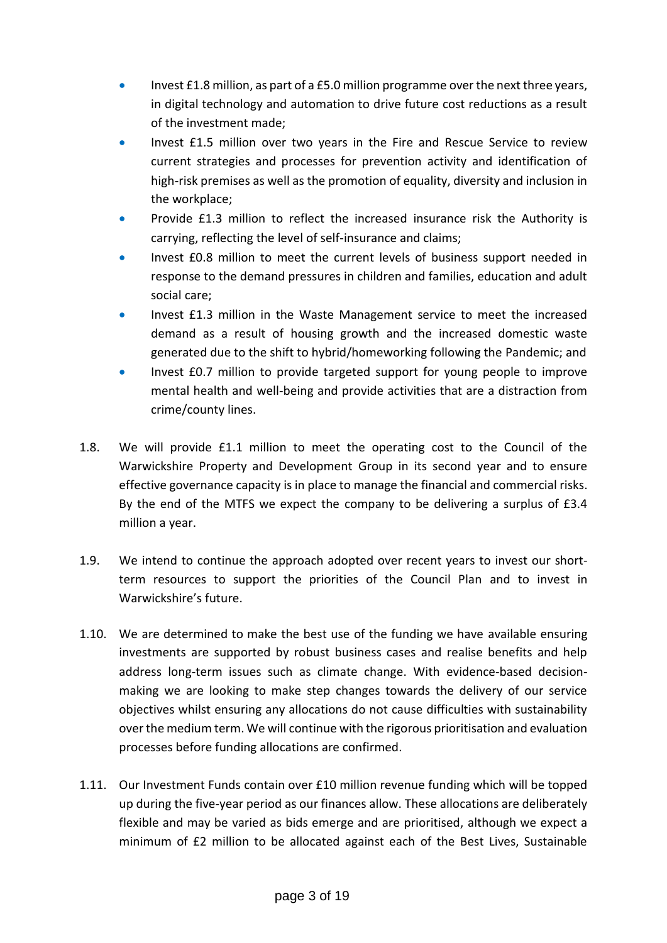- Invest £1.8 million, as part of a £5.0 million programme over the next three years, in digital technology and automation to drive future cost reductions as a result of the investment made;
- Invest £1.5 million over two years in the Fire and Rescue Service to review current strategies and processes for prevention activity and identification of high-risk premises as well as the promotion of equality, diversity and inclusion in the workplace;
- Provide £1.3 million to reflect the increased insurance risk the Authority is carrying, reflecting the level of self-insurance and claims;
- Invest £0.8 million to meet the current levels of business support needed in response to the demand pressures in children and families, education and adult social care;
- Invest £1.3 million in the Waste Management service to meet the increased demand as a result of housing growth and the increased domestic waste generated due to the shift to hybrid/homeworking following the Pandemic; and
- Invest £0.7 million to provide targeted support for young people to improve mental health and well-being and provide activities that are a distraction from crime/county lines.
- 1.8. We will provide £1.1 million to meet the operating cost to the Council of the Warwickshire Property and Development Group in its second year and to ensure effective governance capacity is in place to manage the financial and commercial risks. By the end of the MTFS we expect the company to be delivering a surplus of £3.4 million a year.
- 1.9. We intend to continue the approach adopted over recent years to invest our shortterm resources to support the priorities of the Council Plan and to invest in Warwickshire's future.
- 1.10. We are determined to make the best use of the funding we have available ensuring investments are supported by robust business cases and realise benefits and help address long-term issues such as climate change. With evidence-based decisionmaking we are looking to make step changes towards the delivery of our service objectives whilst ensuring any allocations do not cause difficulties with sustainability over the medium term. We will continue with the rigorous prioritisation and evaluation processes before funding allocations are confirmed.
- 1.11. Our Investment Funds contain over £10 million revenue funding which will be topped up during the five-year period as our finances allow. These allocations are deliberately flexible and may be varied as bids emerge and are prioritised, although we expect a minimum of £2 million to be allocated against each of the Best Lives, Sustainable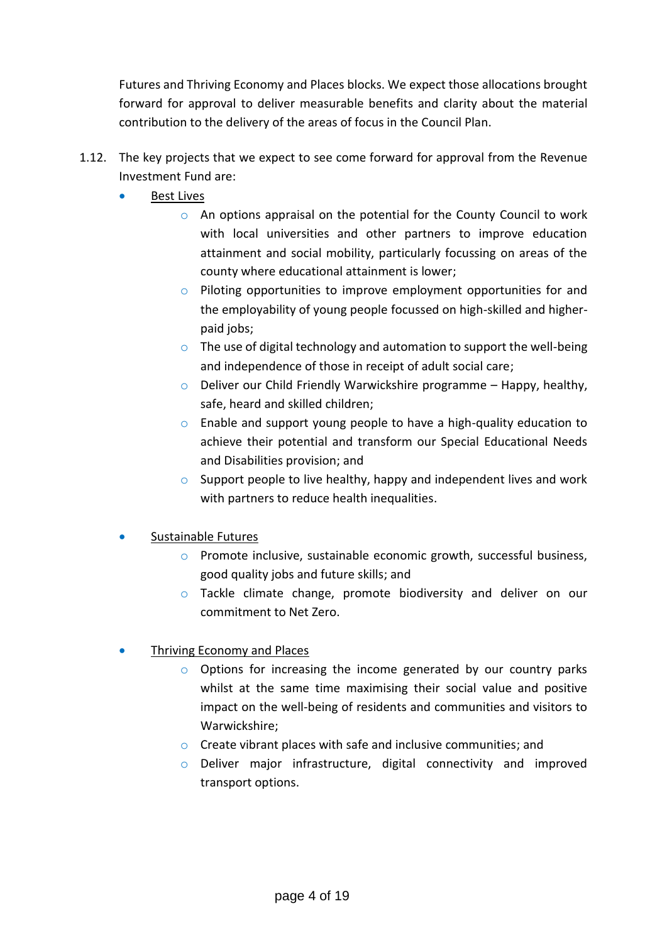Futures and Thriving Economy and Places blocks. We expect those allocations brought forward for approval to deliver measurable benefits and clarity about the material contribution to the delivery of the areas of focus in the Council Plan.

- 1.12. The key projects that we expect to see come forward for approval from the Revenue Investment Fund are:
	- Best Lives
		- o An options appraisal on the potential for the County Council to work with local universities and other partners to improve education attainment and social mobility, particularly focussing on areas of the county where educational attainment is lower;
		- o Piloting opportunities to improve employment opportunities for and the employability of young people focussed on high-skilled and higherpaid jobs;
		- $\circ$  The use of digital technology and automation to support the well-being and independence of those in receipt of adult social care;
		- $\circ$  Deliver our Child Friendly Warwickshire programme Happy, healthy, safe, heard and skilled children;
		- o Enable and support young people to have a high-quality education to achieve their potential and transform our Special Educational Needs and Disabilities provision; and
		- $\circ$  Support people to live healthy, happy and independent lives and work with partners to reduce health inequalities.
	- Sustainable Futures
		- o Promote inclusive, sustainable economic growth, successful business, good quality jobs and future skills; and
		- o Tackle climate change, promote biodiversity and deliver on our commitment to Net Zero.
	- Thriving Economy and Places
		- $\circ$  Options for increasing the income generated by our country parks whilst at the same time maximising their social value and positive impact on the well-being of residents and communities and visitors to Warwickshire;
		- o Create vibrant places with safe and inclusive communities; and
		- o Deliver major infrastructure, digital connectivity and improved transport options.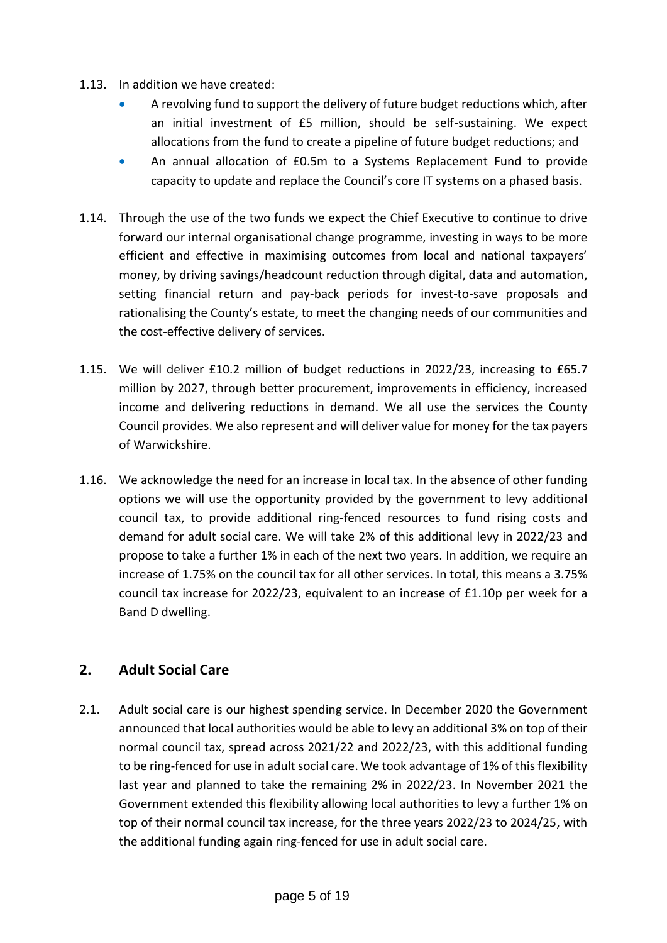- 1.13. In addition we have created:
	- A revolving fund to support the delivery of future budget reductions which, after an initial investment of £5 million, should be self-sustaining. We expect allocations from the fund to create a pipeline of future budget reductions; and
	- An annual allocation of £0.5m to a Systems Replacement Fund to provide capacity to update and replace the Council's core IT systems on a phased basis.
- 1.14. Through the use of the two funds we expect the Chief Executive to continue to drive forward our internal organisational change programme, investing in ways to be more efficient and effective in maximising outcomes from local and national taxpayers' money, by driving savings/headcount reduction through digital, data and automation, setting financial return and pay-back periods for invest-to-save proposals and rationalising the County's estate, to meet the changing needs of our communities and the cost-effective delivery of services.
- 1.15. We will deliver £10.2 million of budget reductions in 2022/23, increasing to £65.7 million by 2027, through better procurement, improvements in efficiency, increased income and delivering reductions in demand. We all use the services the County Council provides. We also represent and will deliver value for money for the tax payers of Warwickshire.
- 1.16. We acknowledge the need for an increase in local tax. In the absence of other funding options we will use the opportunity provided by the government to levy additional council tax, to provide additional ring-fenced resources to fund rising costs and demand for adult social care. We will take 2% of this additional levy in 2022/23 and propose to take a further 1% in each of the next two years. In addition, we require an increase of 1.75% on the council tax for all other services. In total, this means a 3.75% council tax increase for 2022/23, equivalent to an increase of £1.10p per week for a Band D dwelling.

### **2. Adult Social Care**

2.1. Adult social care is our highest spending service. In December 2020 the Government announced that local authorities would be able to levy an additional 3% on top of their normal council tax, spread across 2021/22 and 2022/23, with this additional funding to be ring-fenced for use in adult social care. We took advantage of 1% of this flexibility last year and planned to take the remaining 2% in 2022/23. In November 2021 the Government extended this flexibility allowing local authorities to levy a further 1% on top of their normal council tax increase, for the three years 2022/23 to 2024/25, with the additional funding again ring-fenced for use in adult social care.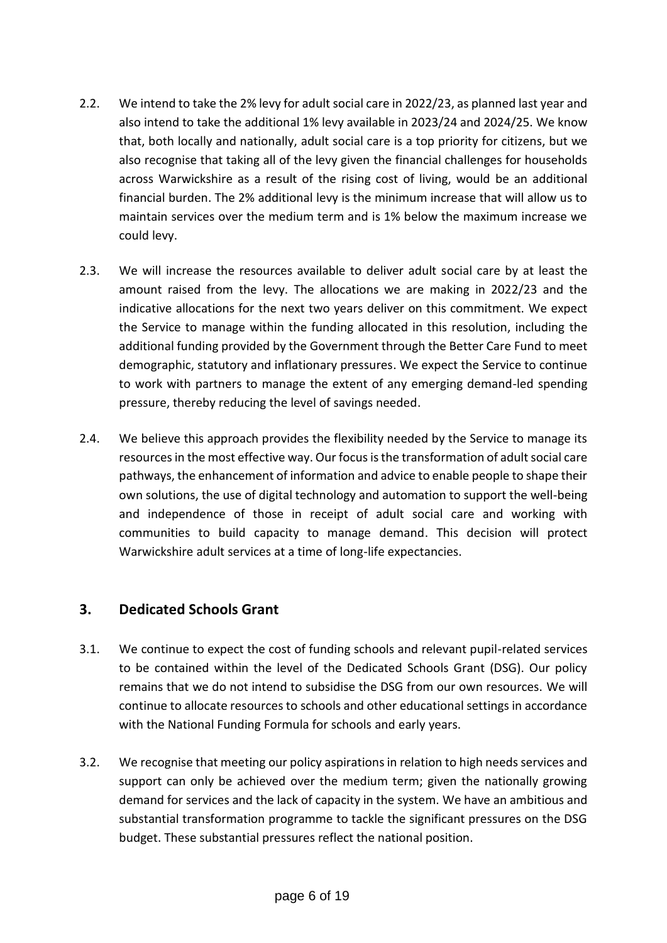- 2.2. We intend to take the 2% levy for adult social care in 2022/23, as planned last year and also intend to take the additional 1% levy available in 2023/24 and 2024/25. We know that, both locally and nationally, adult social care is a top priority for citizens, but we also recognise that taking all of the levy given the financial challenges for households across Warwickshire as a result of the rising cost of living, would be an additional financial burden. The 2% additional levy is the minimum increase that will allow us to maintain services over the medium term and is 1% below the maximum increase we could levy.
- 2.3. We will increase the resources available to deliver adult social care by at least the amount raised from the levy. The allocations we are making in 2022/23 and the indicative allocations for the next two years deliver on this commitment. We expect the Service to manage within the funding allocated in this resolution, including the additional funding provided by the Government through the Better Care Fund to meet demographic, statutory and inflationary pressures. We expect the Service to continue to work with partners to manage the extent of any emerging demand-led spending pressure, thereby reducing the level of savings needed.
- 2.4. We believe this approach provides the flexibility needed by the Service to manage its resources in the most effective way. Our focus is the transformation of adult social care pathways, the enhancement of information and advice to enable people to shape their own solutions, the use of digital technology and automation to support the well-being and independence of those in receipt of adult social care and working with communities to build capacity to manage demand. This decision will protect Warwickshire adult services at a time of long-life expectancies.

# **3. Dedicated Schools Grant**

- 3.1. We continue to expect the cost of funding schools and relevant pupil-related services to be contained within the level of the Dedicated Schools Grant (DSG). Our policy remains that we do not intend to subsidise the DSG from our own resources. We will continue to allocate resources to schools and other educational settings in accordance with the National Funding Formula for schools and early years.
- 3.2. We recognise that meeting our policy aspirations in relation to high needs services and support can only be achieved over the medium term; given the nationally growing demand for services and the lack of capacity in the system. We have an ambitious and substantial transformation programme to tackle the significant pressures on the DSG budget. These substantial pressures reflect the national position.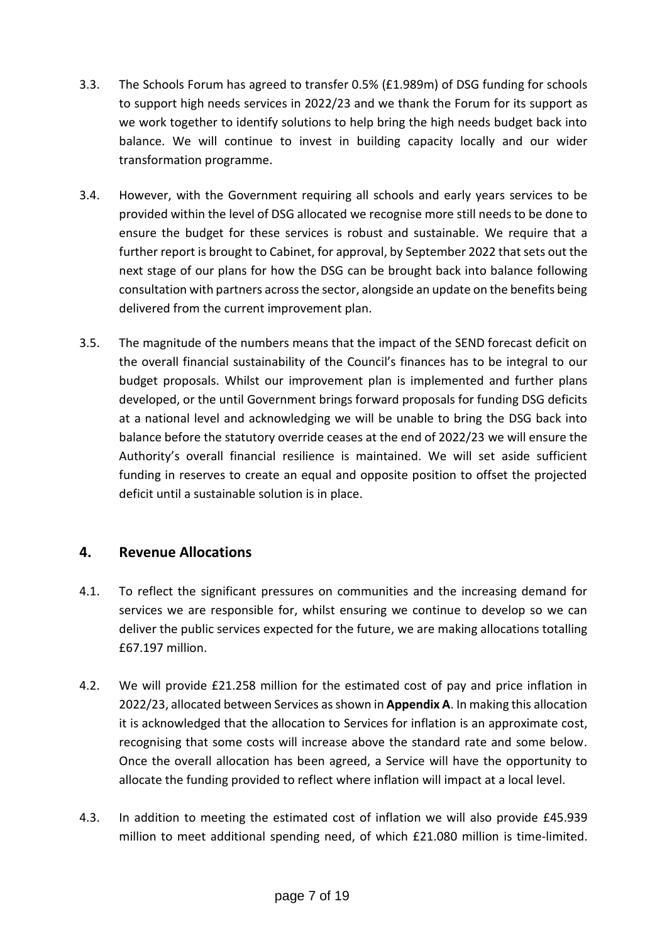- 3.3. The Schools Forum has agreed to transfer 0.5% (£1.989m) of DSG funding for schools to support high needs services in 2022/23 and we thank the Forum for its support as we work together to identify solutions to help bring the high needs budget back into balance. We will continue to invest in building capacity locally and our wider transformation programme.
- 3.4. However, with the Government requiring all schools and early years services to be provided within the level of DSG allocated we recognise more still needs to be done to ensure the budget for these services is robust and sustainable. We require that a further report is brought to Cabinet, for approval, by September 2022 that sets out the next stage of our plans for how the DSG can be brought back into balance following consultation with partners across the sector, alongside an update on the benefits being delivered from the current improvement plan.
- 3.5. The magnitude of the numbers means that the impact of the SEND forecast deficit on the overall financial sustainability of the Council's finances has to be integral to our budget proposals. Whilst our improvement plan is implemented and further plans developed, or the until Government brings forward proposals for funding DSG deficits at a national level and acknowledging we will be unable to bring the DSG back into balance before the statutory override ceases at the end of 2022/23 we will ensure the Authority's overall financial resilience is maintained. We will set aside sufficient funding in reserves to create an equal and opposite position to offset the projected deficit until a sustainable solution is in place.

### **4. Revenue Allocations**

- 4.1. To reflect the significant pressures on communities and the increasing demand for services we are responsible for, whilst ensuring we continue to develop so we can deliver the public services expected for the future, we are making allocations totalling £67.197 million.
- 4.2. We will provide £21.258 million for the estimated cost of pay and price inflation in 2022/23, allocated between Services as shown in **Appendix A**. In making this allocation it is acknowledged that the allocation to Services for inflation is an approximate cost, recognising that some costs will increase above the standard rate and some below. Once the overall allocation has been agreed, a Service will have the opportunity to allocate the funding provided to reflect where inflation will impact at a local level.
- 4.3. In addition to meeting the estimated cost of inflation we will also provide £45.939 million to meet additional spending need, of which £21.080 million is time-limited.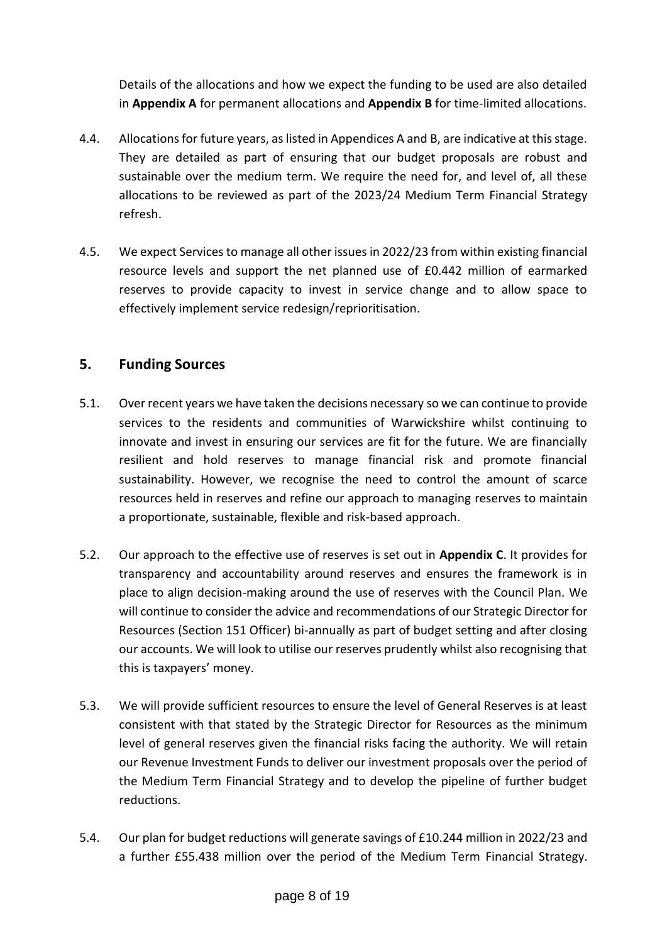Details of the allocations and how we expect the funding to be used are also detailed in **Appendix A** for permanent allocations and **Appendix B** for time-limited allocations.

- 4.4. Allocations for future years, as listed in Appendices A and B, are indicative at this stage. They are detailed as part of ensuring that our budget proposals are robust and sustainable over the medium term. We require the need for, and level of, all these allocations to be reviewed as part of the 2023/24 Medium Term Financial Strategy refresh.
- 4.5. We expect Servicesto manage all other issues in 2022/23 from within existing financial resource levels and support the net planned use of £0.442 million of earmarked reserves to provide capacity to invest in service change and to allow space to effectively implement service redesign/reprioritisation.

# **5. Funding Sources**

- 5.1. Over recent years we have taken the decisions necessary so we can continue to provide services to the residents and communities of Warwickshire whilst continuing to innovate and invest in ensuring our services are fit for the future. We are financially resilient and hold reserves to manage financial risk and promote financial sustainability. However, we recognise the need to control the amount of scarce resources held in reserves and refine our approach to managing reserves to maintain a proportionate, sustainable, flexible and risk-based approach.
- 5.2. Our approach to the effective use of reserves is set out in **Appendix C**. It provides for transparency and accountability around reserves and ensures the framework is in place to align decision-making around the use of reserves with the Council Plan. We will continue to consider the advice and recommendations of our Strategic Director for Resources (Section 151 Officer) bi-annually as part of budget setting and after closing our accounts. We will look to utilise our reserves prudently whilst also recognising that this is taxpayers' money.
- 5.3. We will provide sufficient resources to ensure the level of General Reserves is at least consistent with that stated by the Strategic Director for Resources as the minimum level of general reserves given the financial risks facing the authority. We will retain our Revenue Investment Funds to deliver our investment proposals over the period of the Medium Term Financial Strategy and to develop the pipeline of further budget reductions.
- 5.4. Our plan for budget reductions will generate savings of £10.244 million in 2022/23 and a further £55.438 million over the period of the Medium Term Financial Strategy.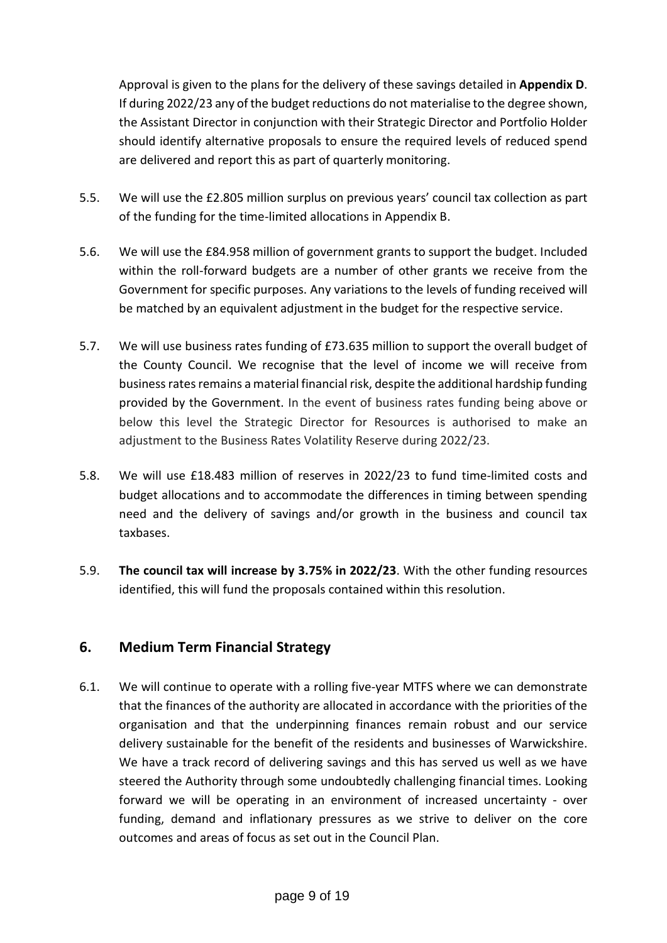Approval is given to the plans for the delivery of these savings detailed in **Appendix D**. If during 2022/23 any of the budget reductions do not materialise to the degree shown, the Assistant Director in conjunction with their Strategic Director and Portfolio Holder should identify alternative proposals to ensure the required levels of reduced spend are delivered and report this as part of quarterly monitoring.

- 5.5. We will use the £2.805 million surplus on previous years' council tax collection as part of the funding for the time-limited allocations in Appendix B.
- 5.6. We will use the £84.958 million of government grants to support the budget. Included within the roll-forward budgets are a number of other grants we receive from the Government for specific purposes. Any variations to the levels of funding received will be matched by an equivalent adjustment in the budget for the respective service.
- 5.7. We will use business rates funding of £73.635 million to support the overall budget of the County Council. We recognise that the level of income we will receive from business rates remains a material financial risk, despite the additional hardship funding provided by the Government. In the event of business rates funding being above or below this level the Strategic Director for Resources is authorised to make an adjustment to the Business Rates Volatility Reserve during 2022/23.
- 5.8. We will use £18.483 million of reserves in 2022/23 to fund time-limited costs and budget allocations and to accommodate the differences in timing between spending need and the delivery of savings and/or growth in the business and council tax taxbases.
- 5.9. **The council tax will increase by 3.75% in 2022/23**. With the other funding resources identified, this will fund the proposals contained within this resolution.

### **6. Medium Term Financial Strategy**

6.1. We will continue to operate with a rolling five-year MTFS where we can demonstrate that the finances of the authority are allocated in accordance with the priorities of the organisation and that the underpinning finances remain robust and our service delivery sustainable for the benefit of the residents and businesses of Warwickshire. We have a track record of delivering savings and this has served us well as we have steered the Authority through some undoubtedly challenging financial times. Looking forward we will be operating in an environment of increased uncertainty - over funding, demand and inflationary pressures as we strive to deliver on the core outcomes and areas of focus as set out in the Council Plan.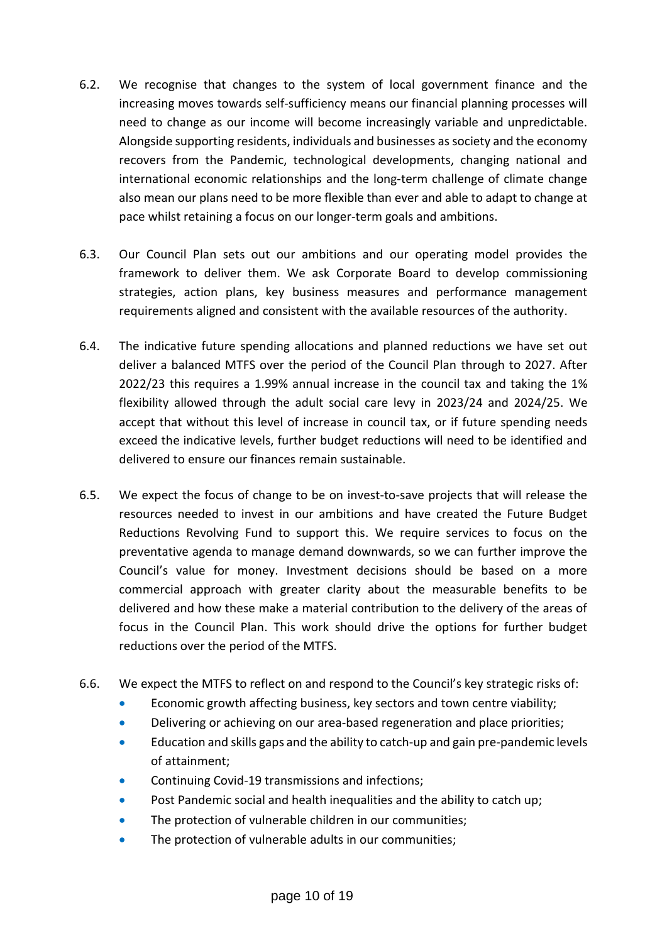- 6.2. We recognise that changes to the system of local government finance and the increasing moves towards self-sufficiency means our financial planning processes will need to change as our income will become increasingly variable and unpredictable. Alongside supporting residents, individuals and businesses as society and the economy recovers from the Pandemic, technological developments, changing national and international economic relationships and the long-term challenge of climate change also mean our plans need to be more flexible than ever and able to adapt to change at pace whilst retaining a focus on our longer-term goals and ambitions.
- 6.3. Our Council Plan sets out our ambitions and our operating model provides the framework to deliver them. We ask Corporate Board to develop commissioning strategies, action plans, key business measures and performance management requirements aligned and consistent with the available resources of the authority.
- 6.4. The indicative future spending allocations and planned reductions we have set out deliver a balanced MTFS over the period of the Council Plan through to 2027. After 2022/23 this requires a 1.99% annual increase in the council tax and taking the 1% flexibility allowed through the adult social care levy in 2023/24 and 2024/25. We accept that without this level of increase in council tax, or if future spending needs exceed the indicative levels, further budget reductions will need to be identified and delivered to ensure our finances remain sustainable.
- 6.5. We expect the focus of change to be on invest-to-save projects that will release the resources needed to invest in our ambitions and have created the Future Budget Reductions Revolving Fund to support this. We require services to focus on the preventative agenda to manage demand downwards, so we can further improve the Council's value for money. Investment decisions should be based on a more commercial approach with greater clarity about the measurable benefits to be delivered and how these make a material contribution to the delivery of the areas of focus in the Council Plan. This work should drive the options for further budget reductions over the period of the MTFS.
- 6.6. We expect the MTFS to reflect on and respond to the Council's key strategic risks of:
	- **Economic growth affecting business, key sectors and town centre viability;**
	- **•** Delivering or achieving on our area-based regeneration and place priorities;
	- Education and skills gaps and the ability to catch-up and gain pre-pandemic levels of attainment;
	- Continuing Covid-19 transmissions and infections;
	- **•** Post Pandemic social and health inequalities and the ability to catch up;
	- The protection of vulnerable children in our communities;
	- The protection of vulnerable adults in our communities;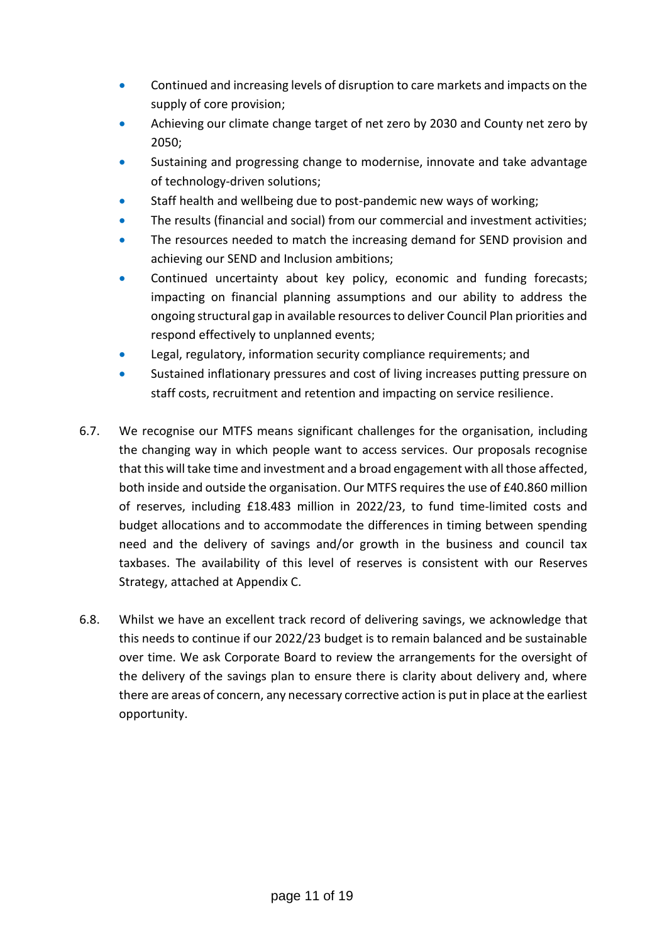- **Continued and increasing levels of disruption to care markets and impacts on the** supply of core provision;
- Achieving our climate change target of net zero by 2030 and County net zero by 2050;
- Sustaining and progressing change to modernise, innovate and take advantage of technology-driven solutions;
- Staff health and wellbeing due to post-pandemic new ways of working;
- The results (financial and social) from our commercial and investment activities;
- The resources needed to match the increasing demand for SEND provision and achieving our SEND and Inclusion ambitions;
- Continued uncertainty about key policy, economic and funding forecasts; impacting on financial planning assumptions and our ability to address the ongoing structural gap in available resources to deliver Council Plan priorities and respond effectively to unplanned events;
- Legal, regulatory, information security compliance requirements; and
- Sustained inflationary pressures and cost of living increases putting pressure on staff costs, recruitment and retention and impacting on service resilience.
- 6.7. We recognise our MTFS means significant challenges for the organisation, including the changing way in which people want to access services. Our proposals recognise that this will take time and investment and a broad engagement with all those affected, both inside and outside the organisation. Our MTFS requires the use of £40.860 million of reserves, including £18.483 million in 2022/23, to fund time-limited costs and budget allocations and to accommodate the differences in timing between spending need and the delivery of savings and/or growth in the business and council tax taxbases. The availability of this level of reserves is consistent with our Reserves Strategy, attached at Appendix C.
- 6.8. Whilst we have an excellent track record of delivering savings, we acknowledge that this needs to continue if our 2022/23 budget is to remain balanced and be sustainable over time. We ask Corporate Board to review the arrangements for the oversight of the delivery of the savings plan to ensure there is clarity about delivery and, where there are areas of concern, any necessary corrective action is put in place at the earliest opportunity.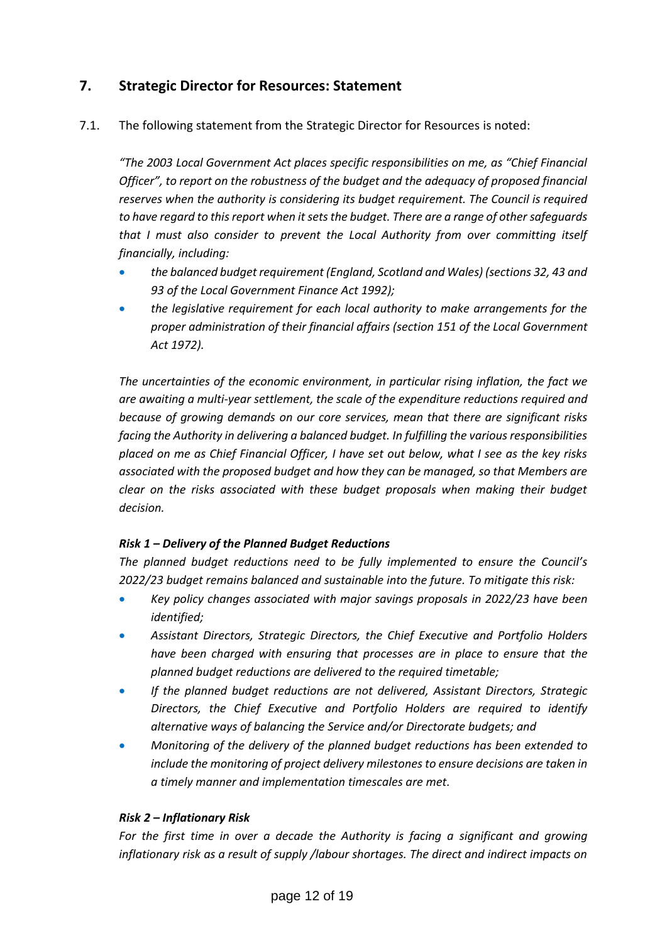# **7. Strategic Director for Resources: Statement**

7.1. The following statement from the Strategic Director for Resources is noted:

*"The 2003 Local Government Act places specific responsibilities on me, as "Chief Financial Officer", to report on the robustness of the budget and the adequacy of proposed financial reserves when the authority is considering its budget requirement. The Council is required to have regard to this report when it sets the budget. There are a range of other safeguards that I must also consider to prevent the Local Authority from over committing itself financially, including:*

- *the balanced budget requirement (England, Scotland and Wales) (sections 32, 43 and 93 of the Local Government Finance Act 1992);*
- *the legislative requirement for each local authority to make arrangements for the proper administration of their financial affairs (section 151 of the Local Government Act 1972).*

*The uncertainties of the economic environment, in particular rising inflation, the fact we are awaiting a multi-year settlement, the scale of the expenditure reductions required and because of growing demands on our core services, mean that there are significant risks facing the Authority in delivering a balanced budget. In fulfilling the various responsibilities placed on me as Chief Financial Officer, I have set out below, what I see as the key risks associated with the proposed budget and how they can be managed, so that Members are clear on the risks associated with these budget proposals when making their budget decision.*

#### *Risk 1 – Delivery of the Planned Budget Reductions*

*The planned budget reductions need to be fully implemented to ensure the Council's 2022/23 budget remains balanced and sustainable into the future. To mitigate this risk:*

- *Key policy changes associated with major savings proposals in 2022/23 have been identified;*
- *Assistant Directors, Strategic Directors, the Chief Executive and Portfolio Holders have been charged with ensuring that processes are in place to ensure that the planned budget reductions are delivered to the required timetable;*
- *If the planned budget reductions are not delivered, Assistant Directors, Strategic Directors, the Chief Executive and Portfolio Holders are required to identify alternative ways of balancing the Service and/or Directorate budgets; and*
- *Monitoring of the delivery of the planned budget reductions has been extended to include the monitoring of project delivery milestones to ensure decisions are taken in a timely manner and implementation timescales are met.*

#### *Risk 2 – Inflationary Risk*

*For the first time in over a decade the Authority is facing a significant and growing inflationary risk as a result of supply /labour shortages. The direct and indirect impacts on*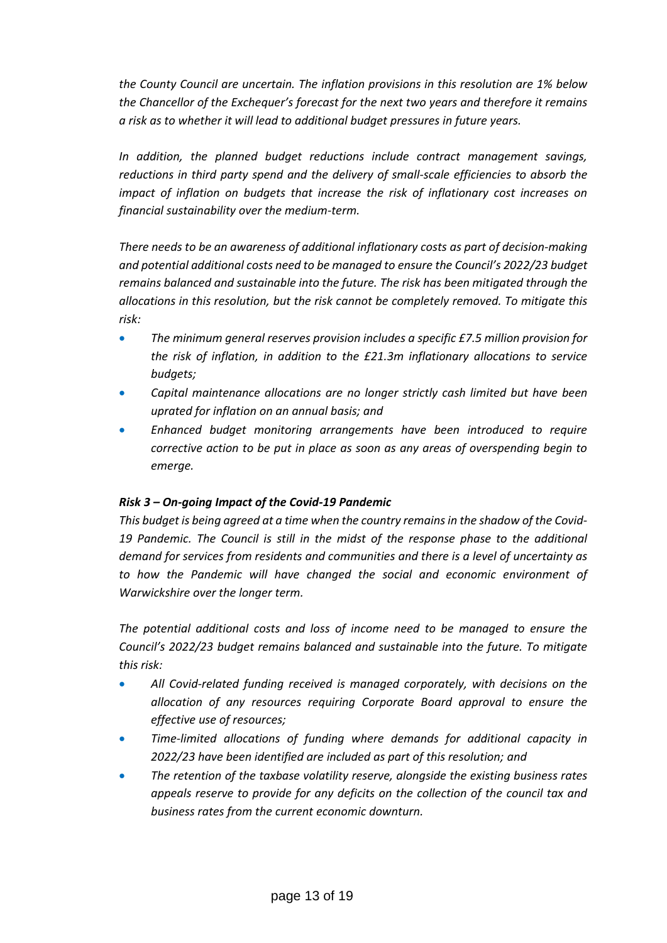*the County Council are uncertain. The inflation provisions in this resolution are 1% below the Chancellor of the Exchequer's forecast for the next two years and therefore it remains a risk as to whether it will lead to additional budget pressures in future years.*

*In addition, the planned budget reductions include contract management savings, reductions in third party spend and the delivery of small-scale efficiencies to absorb the impact of inflation on budgets that increase the risk of inflationary cost increases on financial sustainability over the medium-term.*

*There needs to be an awareness of additional inflationary costs as part of decision-making and potential additional costs need to be managed to ensure the Council's 2022/23 budget remains balanced and sustainable into the future. The risk has been mitigated through the allocations in this resolution, but the risk cannot be completely removed. To mitigate this risk:*

- *The minimum general reserves provision includes a specific £7.5 million provision for the risk of inflation, in addition to the £21.3m inflationary allocations to service budgets;*
- *Capital maintenance allocations are no longer strictly cash limited but have been uprated for inflation on an annual basis; and*
- *Enhanced budget monitoring arrangements have been introduced to require corrective action to be put in place as soon as any areas of overspending begin to emerge.*

### *Risk 3 – On-going Impact of the Covid-19 Pandemic*

*This budget is being agreed at a time when the country remains in the shadow of the Covid-19 Pandemic. The Council is still in the midst of the response phase to the additional demand for services from residents and communities and there is a level of uncertainty as to how the Pandemic will have changed the social and economic environment of Warwickshire over the longer term.*

*The potential additional costs and loss of income need to be managed to ensure the Council's 2022/23 budget remains balanced and sustainable into the future. To mitigate this risk:*

- *All Covid-related funding received is managed corporately, with decisions on the allocation of any resources requiring Corporate Board approval to ensure the effective use of resources;*
- *Time-limited allocations of funding where demands for additional capacity in 2022/23 have been identified are included as part of this resolution; and*
- *The retention of the taxbase volatility reserve, alongside the existing business rates appeals reserve to provide for any deficits on the collection of the council tax and business rates from the current economic downturn.*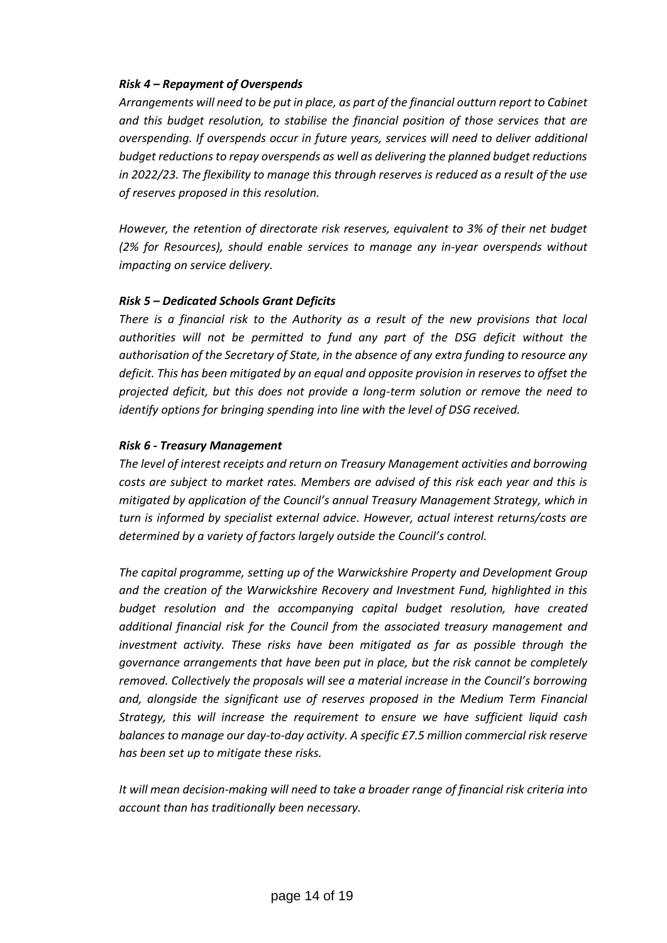#### *Risk 4 – Repayment of Overspends*

*Arrangements will need to be put in place, as part of the financial outturn report to Cabinet and this budget resolution, to stabilise the financial position of those services that are overspending. If overspends occur in future years, services will need to deliver additional budget reductions to repay overspends as well as delivering the planned budget reductions in 2022/23. The flexibility to manage this through reserves is reduced as a result of the use of reserves proposed in this resolution.*

*However, the retention of directorate risk reserves, equivalent to 3% of their net budget (2% for Resources), should enable services to manage any in-year overspends without impacting on service delivery.*

#### *Risk 5 – Dedicated Schools Grant Deficits*

*There is a financial risk to the Authority as a result of the new provisions that local authorities will not be permitted to fund any part of the DSG deficit without the authorisation of the Secretary of State, in the absence of any extra funding to resource any deficit. This has been mitigated by an equal and opposite provision in reserves to offset the projected deficit, but this does not provide a long-term solution or remove the need to identify options for bringing spending into line with the level of DSG received.*

#### *Risk 6 - Treasury Management*

*The level of interest receipts and return on Treasury Management activities and borrowing costs are subject to market rates. Members are advised of this risk each year and this is mitigated by application of the Council's annual Treasury Management Strategy, which in turn is informed by specialist external advice. However, actual interest returns/costs are determined by a variety of factors largely outside the Council's control.*

*The capital programme, setting up of the Warwickshire Property and Development Group and the creation of the Warwickshire Recovery and Investment Fund, highlighted in this budget resolution and the accompanying capital budget resolution, have created additional financial risk for the Council from the associated treasury management and investment activity. These risks have been mitigated as far as possible through the governance arrangements that have been put in place, but the risk cannot be completely removed. Collectively the proposals will see a material increase in the Council's borrowing and, alongside the significant use of reserves proposed in the Medium Term Financial Strategy, this will increase the requirement to ensure we have sufficient liquid cash balances to manage our day-to-day activity. A specific £7.5 million commercial risk reserve has been set up to mitigate these risks.*

*It will mean decision-making will need to take a broader range of financial risk criteria into account than has traditionally been necessary.*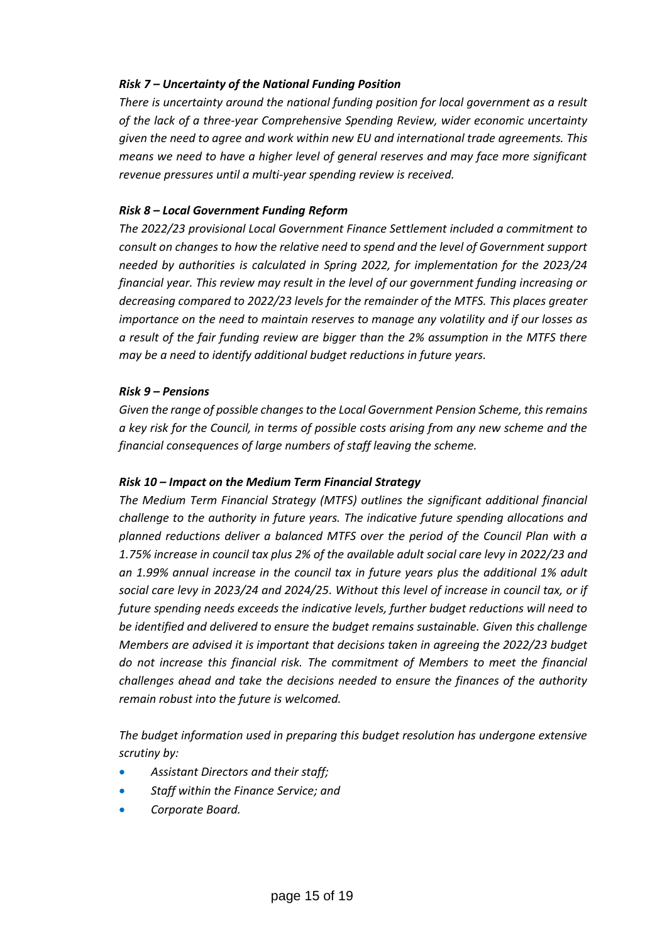#### *Risk 7 – Uncertainty of the National Funding Position*

*There is uncertainty around the national funding position for local government as a result of the lack of a three-year Comprehensive Spending Review, wider economic uncertainty given the need to agree and work within new EU and international trade agreements. This means we need to have a higher level of general reserves and may face more significant revenue pressures until a multi-year spending review is received.*

#### *Risk 8 – Local Government Funding Reform*

*The 2022/23 provisional Local Government Finance Settlement included a commitment to consult on changes to how the relative need to spend and the level of Government support needed by authorities is calculated in Spring 2022, for implementation for the 2023/24 financial year. This review may result in the level of our government funding increasing or decreasing compared to 2022/23 levels for the remainder of the MTFS. This places greater importance on the need to maintain reserves to manage any volatility and if our losses as a result of the fair funding review are bigger than the 2% assumption in the MTFS there may be a need to identify additional budget reductions in future years.*

#### *Risk 9 – Pensions*

*Given the range of possible changes to the Local Government Pension Scheme, this remains a key risk for the Council, in terms of possible costs arising from any new scheme and the financial consequences of large numbers of staff leaving the scheme.*

#### *Risk 10 – Impact on the Medium Term Financial Strategy*

*The Medium Term Financial Strategy (MTFS) outlines the significant additional financial challenge to the authority in future years. The indicative future spending allocations and planned reductions deliver a balanced MTFS over the period of the Council Plan with a 1.75% increase in council tax plus 2% of the available adult social care levy in 2022/23 and an 1.99% annual increase in the council tax in future years plus the additional 1% adult social care levy in 2023/24 and 2024/25. Without this level of increase in council tax, or if future spending needs exceeds the indicative levels, further budget reductions will need to be identified and delivered to ensure the budget remains sustainable. Given this challenge Members are advised it is important that decisions taken in agreeing the 2022/23 budget do not increase this financial risk. The commitment of Members to meet the financial challenges ahead and take the decisions needed to ensure the finances of the authority remain robust into the future is welcomed.*

*The budget information used in preparing this budget resolution has undergone extensive scrutiny by:*

- *Assistant Directors and their staff;*
- *Staff within the Finance Service; and*
- *Corporate Board.*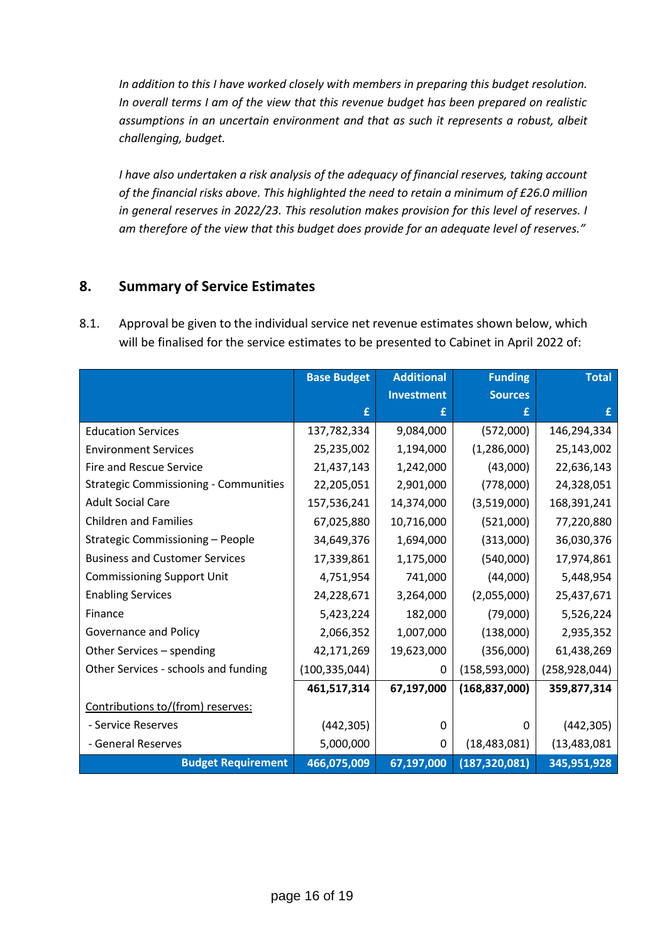*In addition to this I have worked closely with members in preparing this budget resolution. In overall terms I am of the view that this revenue budget has been prepared on realistic assumptions in an uncertain environment and that as such it represents a robust, albeit challenging, budget.*

*I have also undertaken a risk analysis of the adequacy of financial reserves, taking account of the financial risks above. This highlighted the need to retain a minimum of £26.0 million in general reserves in 2022/23. This resolution makes provision for this level of reserves. I am therefore of the view that this budget does provide for an adequate level of reserves."*

# **8. Summary of Service Estimates**

8.1. Approval be given to the individual service net revenue estimates shown below, which will be finalised for the service estimates to be presented to Cabinet in April 2022 of:

|                                              | <b>Base Budget</b> | <b>Additional</b> | <b>Funding</b>  | <b>Total</b>    |
|----------------------------------------------|--------------------|-------------------|-----------------|-----------------|
|                                              |                    | <b>Investment</b> | <b>Sources</b>  |                 |
|                                              | £                  | f                 | £               | f               |
| <b>Education Services</b>                    | 137,782,334        | 9,084,000         | (572,000)       | 146,294,334     |
| <b>Environment Services</b>                  | 25,235,002         | 1,194,000         | (1, 286, 000)   | 25,143,002      |
| <b>Fire and Rescue Service</b>               | 21,437,143         | 1,242,000         | (43,000)        | 22,636,143      |
| <b>Strategic Commissioning - Communities</b> | 22,205,051         | 2,901,000         | (778,000)       | 24,328,051      |
| <b>Adult Social Care</b>                     | 157,536,241        | 14,374,000        | (3,519,000)     | 168,391,241     |
| <b>Children and Families</b>                 | 67,025,880         | 10,716,000        | (521,000)       | 77,220,880      |
| Strategic Commissioning - People             | 34,649,376         | 1,694,000         | (313,000)       | 36,030,376      |
| <b>Business and Customer Services</b>        | 17,339,861         | 1,175,000         | (540,000)       | 17,974,861      |
| <b>Commissioning Support Unit</b>            | 4,751,954          | 741,000           | (44,000)        | 5,448,954       |
| <b>Enabling Services</b>                     | 24,228,671         | 3,264,000         | (2,055,000)     | 25,437,671      |
| Finance                                      | 5,423,224          | 182,000           | (79,000)        | 5,526,224       |
| Governance and Policy                        | 2,066,352          | 1,007,000         | (138,000)       | 2,935,352       |
| Other Services - spending                    | 42,171,269         | 19,623,000        | (356,000)       | 61,438,269      |
| Other Services - schools and funding         | (100, 335, 044)    | 0                 | (158, 593, 000) | (258, 928, 044) |
|                                              | 461,517,314        | 67,197,000        | (168, 837, 000) | 359,877,314     |
| Contributions to/(from) reserves:            |                    |                   |                 |                 |
| - Service Reserves                           | (442, 305)         | 0                 | 0               | (442, 305)      |
| - General Reserves                           | 5,000,000          | 0                 | (18, 483, 081)  | (13, 483, 081)  |
| <b>Budget Requirement</b>                    | 466,075,009        | 67,197,000        | (187, 320, 081) | 345,951,928     |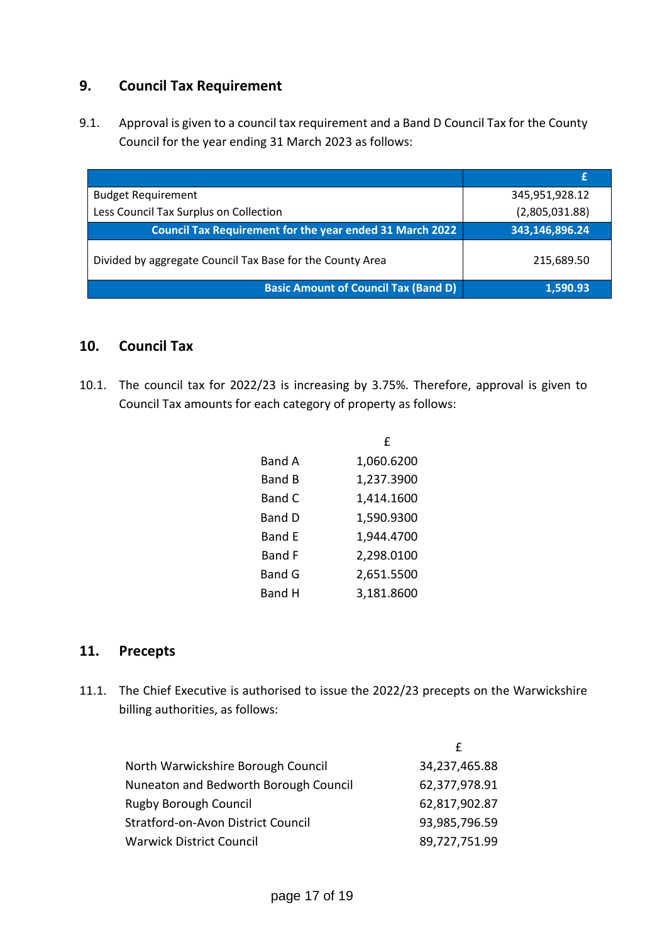# **9. Council Tax Requirement**

9.1. Approval is given to a council tax requirement and a Band D Council Tax for the County Council for the year ending 31 March 2023 as follows:

| <b>Budget Requirement</b>                                       | 345,951,928.12 |
|-----------------------------------------------------------------|----------------|
| Less Council Tax Surplus on Collection                          | (2,805,031.88) |
| <b>Council Tax Requirement for the year ended 31 March 2022</b> | 343,146,896.24 |
| Divided by aggregate Council Tax Base for the County Area       | 215,689.50     |
| <b>Basic Amount of Council Tax (Band D)</b>                     | 1,590.93       |

### **10. Council Tax**

10.1. The council tax for 2022/23 is increasing by 3.75%. Therefore, approval is given to Council Tax amounts for each category of property as follows:

|               | f          |
|---------------|------------|
| <b>Band A</b> | 1,060.6200 |
| <b>Band B</b> | 1,237.3900 |
| Band C        | 1,414.1600 |
| <b>Band D</b> | 1,590.9300 |
| <b>Band E</b> | 1,944.4700 |
| <b>Band F</b> | 2,298.0100 |
| <b>Band G</b> | 2,651.5500 |
| <b>Band H</b> | 3,181.8600 |

### **11. Precepts**

11.1. The Chief Executive is authorised to issue the 2022/23 precepts on the Warwickshire billing authorities, as follows:

| North Warwickshire Borough Council    | 34,237,465.88 |
|---------------------------------------|---------------|
| Nuneaton and Bedworth Borough Council | 62,377,978.91 |
| <b>Rugby Borough Council</b>          | 62,817,902.87 |
| Stratford-on-Avon District Council    | 93,985,796.59 |
| <b>Warwick District Council</b>       | 89,727,751.99 |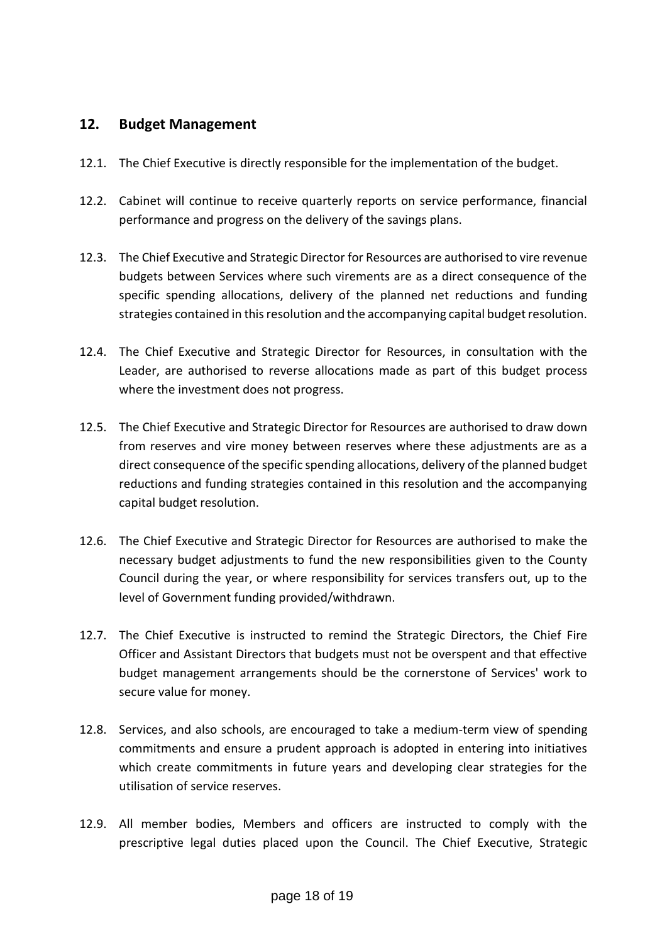### **12. Budget Management**

- 12.1. The Chief Executive is directly responsible for the implementation of the budget.
- 12.2. Cabinet will continue to receive quarterly reports on service performance, financial performance and progress on the delivery of the savings plans.
- 12.3. The Chief Executive and Strategic Director for Resources are authorised to vire revenue budgets between Services where such virements are as a direct consequence of the specific spending allocations, delivery of the planned net reductions and funding strategies contained in this resolution and the accompanying capital budget resolution.
- 12.4. The Chief Executive and Strategic Director for Resources, in consultation with the Leader, are authorised to reverse allocations made as part of this budget process where the investment does not progress.
- 12.5. The Chief Executive and Strategic Director for Resources are authorised to draw down from reserves and vire money between reserves where these adjustments are as a direct consequence of the specific spending allocations, delivery of the planned budget reductions and funding strategies contained in this resolution and the accompanying capital budget resolution.
- 12.6. The Chief Executive and Strategic Director for Resources are authorised to make the necessary budget adjustments to fund the new responsibilities given to the County Council during the year, or where responsibility for services transfers out, up to the level of Government funding provided/withdrawn.
- 12.7. The Chief Executive is instructed to remind the Strategic Directors, the Chief Fire Officer and Assistant Directors that budgets must not be overspent and that effective budget management arrangements should be the cornerstone of Services' work to secure value for money.
- 12.8. Services, and also schools, are encouraged to take a medium-term view of spending commitments and ensure a prudent approach is adopted in entering into initiatives which create commitments in future years and developing clear strategies for the utilisation of service reserves.
- 12.9. All member bodies, Members and officers are instructed to comply with the prescriptive legal duties placed upon the Council. The Chief Executive, Strategic